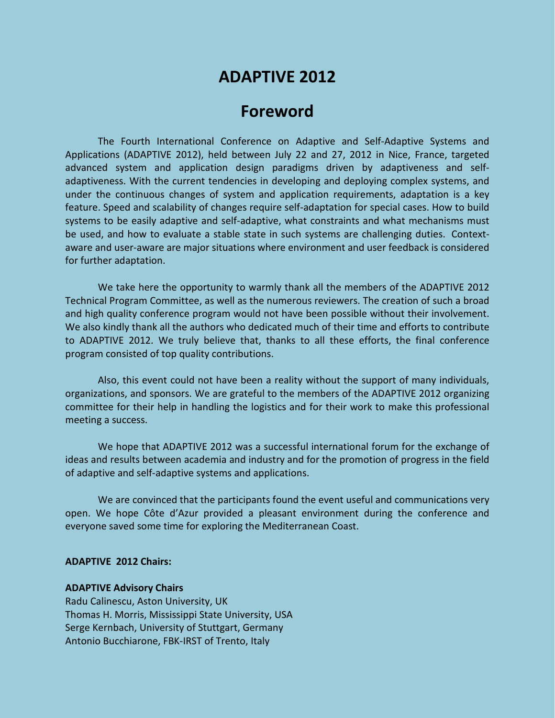# **ADAPTIVE 2012**

## **Foreword**

The Fourth International Conference on Adaptive and Self-Adaptive Systems and Applications (ADAPTIVE 2012), held between July 22 and 27, 2012 in Nice, France, targeted advanced system and application design paradigms driven by adaptiveness and selfadaptiveness. With the current tendencies in developing and deploying complex systems, and under the continuous changes of system and application requirements, adaptation is a key feature. Speed and scalability of changes require self-adaptation for special cases. How to build systems to be easily adaptive and self-adaptive, what constraints and what mechanisms must be used, and how to evaluate a stable state in such systems are challenging duties. Contextaware and user-aware are major situations where environment and user feedback is considered for further adaptation.

We take here the opportunity to warmly thank all the members of the ADAPTIVE 2012 Technical Program Committee, as well as the numerous reviewers. The creation of such a broad and high quality conference program would not have been possible without their involvement. We also kindly thank all the authors who dedicated much of their time and efforts to contribute to ADAPTIVE 2012. We truly believe that, thanks to all these efforts, the final conference program consisted of top quality contributions.

Also, this event could not have been a reality without the support of many individuals, organizations, and sponsors. We are grateful to the members of the ADAPTIVE 2012 organizing committee for their help in handling the logistics and for their work to make this professional meeting a success.

We hope that ADAPTIVE 2012 was a successful international forum for the exchange of ideas and results between academia and industry and for the promotion of progress in the field of adaptive and self-adaptive systems and applications.

We are convinced that the participants found the event useful and communications very open. We hope Côte d'Azur provided a pleasant environment during the conference and everyone saved some time for exploring the Mediterranean Coast.

#### **ADAPTIVE 2012 Chairs:**

#### **ADAPTIVE Advisory Chairs**

Radu Calinescu, Aston University, UK Thomas H. Morris, Mississippi State University, USA Serge Kernbach, University of Stuttgart, Germany Antonio Bucchiarone, FBK-IRST of Trento, Italy